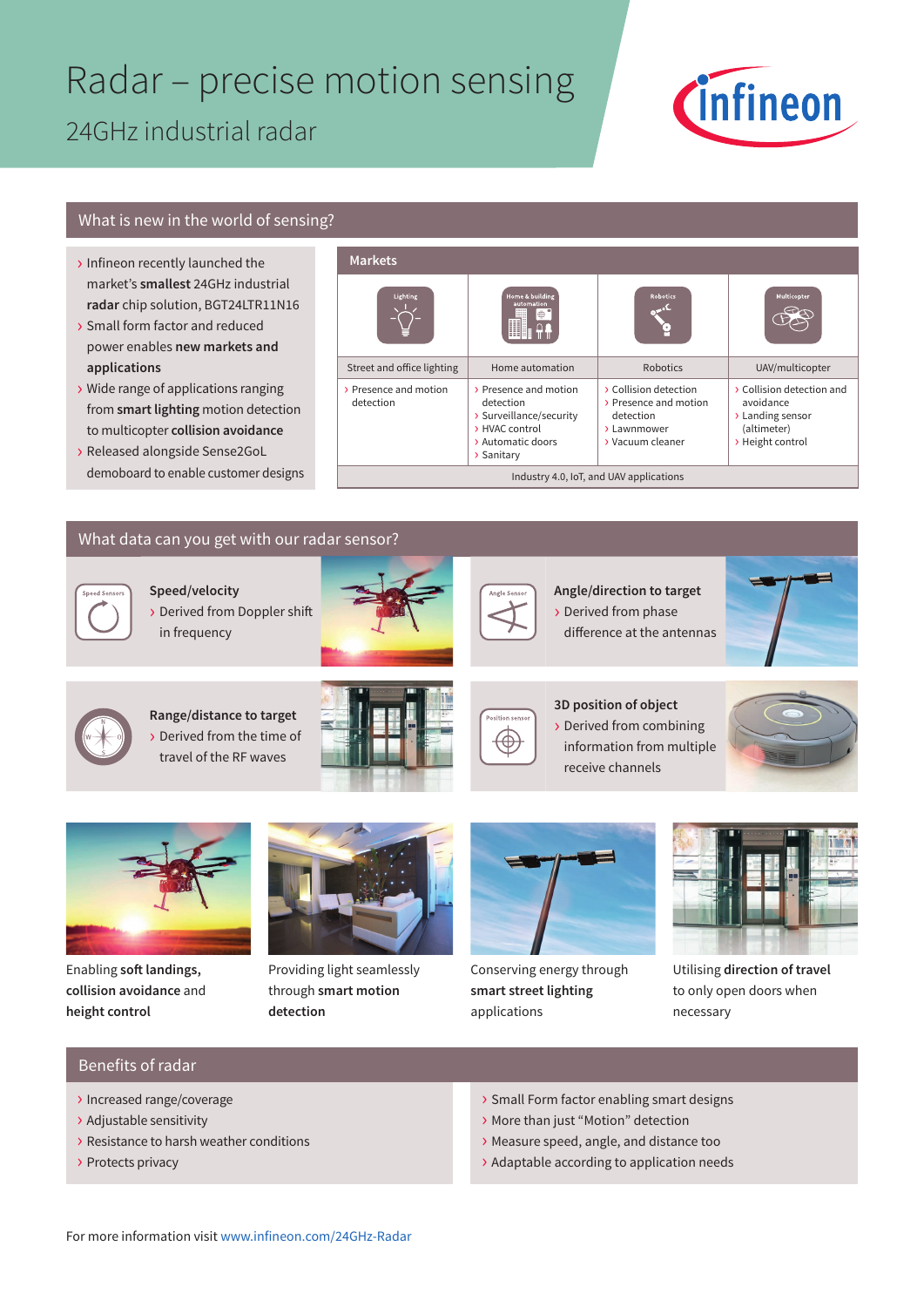# Radar – precise motion sensing 24GHz industrial radar



### What is new in the world of sensing?

- › Infineon recently launched the market's **smallest** 24GHz industrial **radar** chip solution, BGT24LTR11N16
- › Small form factor and reduced power enables **new markets and applications**
- › Wide range of applications ranging from **smart lighting** motion detection to multicopter **collision avoidance**
- › Released alongside Sense2GoL demoboard to enable customer designs

#### **Markets**



### What data can you get with our radar sensor?

**Speed/velocity** › Derived from Doppler shift in frequency





⊛

**Angle/direction to target** › Derived from phase difference at the antennas





**Range/distance to target** › Derived from the time of travel of the RF waves









Enabling **soft landings, collision avoidance** and **height control**



Providing light seamlessly through **smart motion detection**



Conserving energy through **smart street lighting** applications



Utilising **direction of travel** to only open doors when necessary

#### Benefits of radar

- › Increased range/coverage
- › Adjustable sensitivity
- › Resistance to harsh weather conditions
- › Protects privacy
- › Small Form factor enabling smart designs
- › More than just "Motion" detection
- › Measure speed, angle, and distance too
- › Adaptable according to application needs